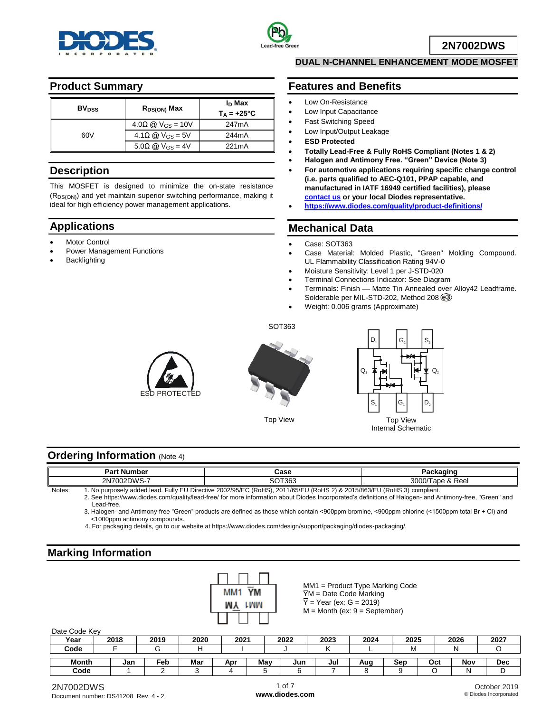



**2N7002DWS**

### **Product Summary**

| <b>BV<sub>DSS</sub></b> | $R_{DS(ON)}$ Max                   | I <sub>D</sub> Max<br>$T_A = +25^{\circ}C$ |
|-------------------------|------------------------------------|--------------------------------------------|
|                         | $4.0\Omega \omega V_{GS} = 10V$    | 247 <sub>m</sub> A                         |
| 60V                     | $4.1\Omega$ @ V <sub>GS</sub> = 5V | 244mA                                      |
|                         | $5.0\Omega$ @ V <sub>GS</sub> = 4V | 221mA                                      |

### **Description**

This MOSFET is designed to minimize the on-state resistance (RDS(ON)) and yet maintain superior switching performance, making it ideal for high efficiency power management applications.

# **Applications**

- Motor Control
- Power Management Functions
- Backlighting

### **DUAL N-CHANNEL ENHANCEMENT MODE MOSFET**

### **Features and Benefits**

- Low On-Resistance
- Low Input Capacitance
- Fast Switching Speed
- Low Input/Output Leakage **ESD Protected**
- 
- **Totally Lead-Free & Fully RoHS Compliant (Notes 1 & 2)**
- **Halogen and Antimony Free. "Green" Device (Note 3)**
- **For automotive applications requiring specific change control (i.e. parts qualified to AEC-Q101, PPAP capable, and manufactured in IATF 16949 certified facilities), please [contact us](https://www.diodes.com/about/contact-us/) or your local Diodes representative.**
- **<https://www.diodes.com/quality/product-definitions/>**

### **Mechanical Data**

- Case: SOT363
- Case Material: Molded Plastic, "Green" Molding Compound. UL Flammability Classification Rating 94V-0
- Moisture Sensitivity: Level 1 per J-STD-020
- Terminal Connections Indicator: See Diagram
- Terminals: Finish Matte Tin Annealed over Alloy42 Leadframe. Solderable per MIL-STD-202, Method 208 **e3**
- Weight: 0.006 grams (Approximate)

SOT363







### **Ordering Information (Note 4)**

|        | <b>Part Number</b>          | Case                                                                                             | Packaging             |  |  |
|--------|-----------------------------|--------------------------------------------------------------------------------------------------|-----------------------|--|--|
|        | 2N7002DWS-7                 | SOT363                                                                                           | Tape & Reel<br>3000/T |  |  |
| Notes: | 1. No purposely added lead. | Fully EU Directive 2002/95/EC (RoHS),<br>, 2011/65/EU (RoHS 2) & 2015/863/EU (RoHS 3) compliant. |                       |  |  |

2. See [https://www.diodes.com/quality/lead-free/ fo](https://www.diodes.com/quality/lead-free/)r more information about Diodes Incorporated's definitions of Halogen- and Antimony-free, "Green" and Lead-free.

3. Halogen- and Antimony-free "Green" products are defined as those which contain <900ppm bromine, <900ppm chlorine (<1500ppm total Br + Cl) and <1000ppm antimony compounds.

4. For packaging details, go to our website at [https://www.diodes.com/design/support/packaging/diodes-packaging/.](https://www.diodes.com/design/support/packaging/diodes-packaging/) 

### **Marking Information**



MM1 = Product Type Marking Code  $\overline{Y}M$  = Date Code Marking  $\overline{Y}$  = Year (ex: G = 2019)  $M =$  Month (ex:  $9 =$  September)

### Date Code Key

| ------------- |      |      |      |      |     |      |      |      |      |     |      |      |
|---------------|------|------|------|------|-----|------|------|------|------|-----|------|------|
| Year          | 2018 | 2019 | 2020 | 2021 |     | 2022 | 2023 | 2024 | 2025 |     | 2026 | 2027 |
| Code          |      |      |      |      |     |      |      |      | ΙVΙ  |     |      |      |
| Month         | Jan  | Feb  | Mar  | Apr  | May | Jun  | Jul  | Aug  | Sep  | Oct | Nov  | Dec  |
| Code          |      |      |      |      |     |      |      |      |      |     |      |      |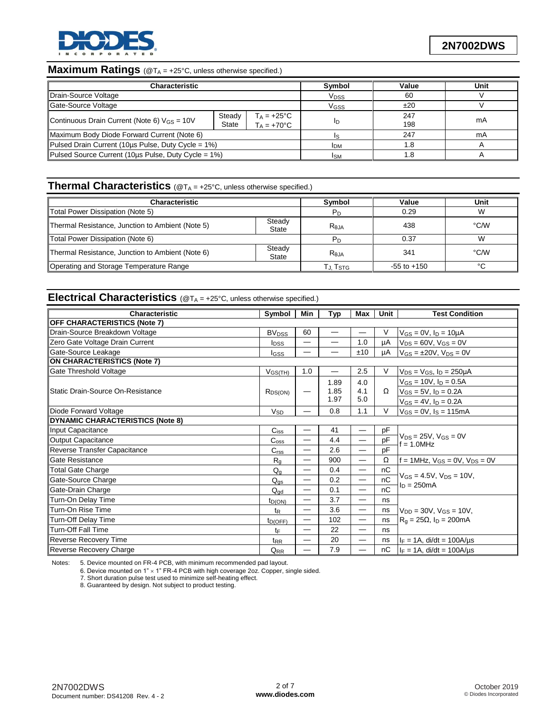

# **Maximum Ratings** (@TA = +25°C, unless otherwise specified.)

| Characteristic                                                                                                |  | Symbol           | Value      | Unit       |    |
|---------------------------------------------------------------------------------------------------------------|--|------------------|------------|------------|----|
| Drain-Source Voltage                                                                                          |  | V <sub>DSS</sub> | 60         |            |    |
| Gate-Source Voltage                                                                                           |  | VGSS             | ±20        |            |    |
| $T_A = +25^{\circ}C$<br>Steady<br>Continuous Drain Current (Note 6) $V_{GS} = 10V$<br>$T_A = +70$ °C<br>State |  |                  | In         | 247<br>198 | mA |
| Maximum Body Diode Forward Current (Note 6)                                                                   |  |                  | Is         | 247        | mA |
| Pulsed Drain Current (10us Pulse, Duty Cycle = 1%)                                                            |  | <b>I</b> DM      |            |            |    |
| Pulsed Source Current (10µs Pulse, Duty Cycle = 1%)                                                           |  |                  | <b>ISM</b> |            |    |

## **Thermal Characteristics** (@T<sup>A</sup> = +25°C, unless otherwise specified.)

| <b>Characteristic</b>                            | Symbol          | Value                | Unit            |        |
|--------------------------------------------------|-----------------|----------------------|-----------------|--------|
| Total Power Dissipation (Note 5)                 | $P_D$           | 0.29                 | W               |        |
| Thermal Resistance, Junction to Ambient (Note 5) | Reja            | 438                  | °C∕W            |        |
| Total Power Dissipation (Note 6)                 |                 | $P_D$                | 0.37            | W      |
| Thermal Resistance, Junction to Ambient (Note 6) | Steady<br>State | $R_{0,IA}$           | 341             | °C/W   |
| Operating and Storage Temperature Range          |                 | TJ, T <sub>STG</sub> | $-55$ to $+150$ | $\sim$ |

# **Electrical Characteristics** ( $@T_A = +25^\circ \text{C}$ , unless otherwise specified.)

| Characteristic                          | Symbol                  | Min | Typ                      | Max                      | Unit | <b>Test Condition</b>                              |  |
|-----------------------------------------|-------------------------|-----|--------------------------|--------------------------|------|----------------------------------------------------|--|
| <b>OFF CHARACTERISTICS (Note 7)</b>     |                         |     |                          |                          |      |                                                    |  |
| Drain-Source Breakdown Voltage          | <b>BV<sub>DSS</sub></b> | 60  |                          | $\overline{\phantom{0}}$ | V    | $V_{GS} = 0V$ , $I_D = 10\mu A$                    |  |
| Zero Gate Voltage Drain Current         | <b>I</b> <sub>DSS</sub> | —   | $\overline{\phantom{m}}$ | 1.0                      | μA   | $V_{DS} = 60V$ , $V_{GS} = 0V$                     |  |
| Gate-Source Leakage                     | lgss                    | —   |                          | ±10                      | μA   | $V_{GS} = \pm 20V$ , $V_{DS} = 0V$                 |  |
| <b>ON CHARACTERISTICS (Note 7)</b>      |                         |     |                          |                          |      |                                                    |  |
| Gate Threshold Voltage                  | V <sub>GS(TH)</sub>     | 1.0 |                          | 2.5                      | V    | $V_{DS}$ = $V_{GS}$ , $I_D$ = 250µA                |  |
|                                         |                         |     | 1.89                     | 4.0                      |      | $V_{GS}$ = 10V, $I_D$ = 0.5A                       |  |
| llStatic Drain-Source On-Resistance     | $R_{DS(ON)}$            | -   | 1.85                     | 4.1                      | Ω    | $V_{GS} = 5V$ , $I_D = 0.2A$                       |  |
|                                         |                         |     | 1.97                     | 5.0                      |      | $V_{GS} = 4V$ , $I_D = 0.2A$                       |  |
| Diode Forward Voltage                   | $V_{SD}$                |     | 0.8                      | 1.1                      | V    | $V_{GS} = 0V$ , $I_S = 115mA$                      |  |
| <b>DYNAMIC CHARACTERISTICS (Note 8)</b> |                         |     |                          |                          |      |                                                    |  |
| Input Capacitance                       | $C_{iss}$               |     | 41                       | $\overline{\phantom{0}}$ | pF   |                                                    |  |
| Output Capacitance                      | C <sub>oss</sub>        | -   | 4.4                      | $\overline{\phantom{0}}$ | pF   | $V_{DS}$ = 25V, $V_{GS}$ = 0V<br>$= 1.0$ MHz       |  |
| Reverse Transfer Capacitance            | C <sub>rss</sub>        | —   | 2.6                      | —                        | pF   |                                                    |  |
| Gate Resistance                         | $R_{q}$                 | —   | 900                      | $\overline{\phantom{0}}$ | Ω    | $f = 1$ MHz, $V_{GS} = 0V$ , $V_{DS} = 0V$         |  |
| <b>Total Gate Charge</b>                | $Q_q$                   | —   | 0.4                      | —                        | nC   |                                                    |  |
| Gate-Source Charge                      | $Q_{qs}$                | —   | 0.2                      | —                        | nC   | $V_{GS} = 4.5V$ , $V_{DS} = 10V$ ,<br>$ln = 250mA$ |  |
| Gate-Drain Charge                       | $Q_{\text{gd}}$         | —   | 0.1                      | —                        | nC   |                                                    |  |
| Turn-On Delay Time                      | $t_{D(ON)}$             | —   | 3.7                      | —                        | ns   |                                                    |  |
| Turn-On Rise Time                       | $t_{\mathsf{R}}$        | —   | 3.6                      | —                        | ns   | $V_{DD} = 30V$ , $V_{GS} = 10V$ ,                  |  |
| Turn-Off Delay Time                     | $t_{D(OFF)}$            | —   | 102                      | —                        | ns   | $R_g = 25\Omega$ , $I_D = 200mA$                   |  |
| <b>Turn-Off Fall Time</b>               | tF                      | —   | 22                       | —                        | ns   |                                                    |  |
| Reverse Recovery Time                   | t <sub>RR</sub>         | —   | 20                       | —                        | ns   | $I_F = 1A$ , di/dt = 100A/us                       |  |
| <b>Reverse Recovery Charge</b>          | Q <sub>RR</sub>         |     | 7.9                      | —                        | nC   | $I_F = 1A$ , di/dt = 100A/us                       |  |

Notes: 5. Device mounted on FR-4 PCB, with minimum recommended pad layout.

6. Device mounted on  $1" \times 1"$  FR-4 PCB with high coverage 2oz. Copper, single sided.

7. Short duration pulse test used to minimize self-heating effect.

8. Guaranteed by design. Not subject to product testing.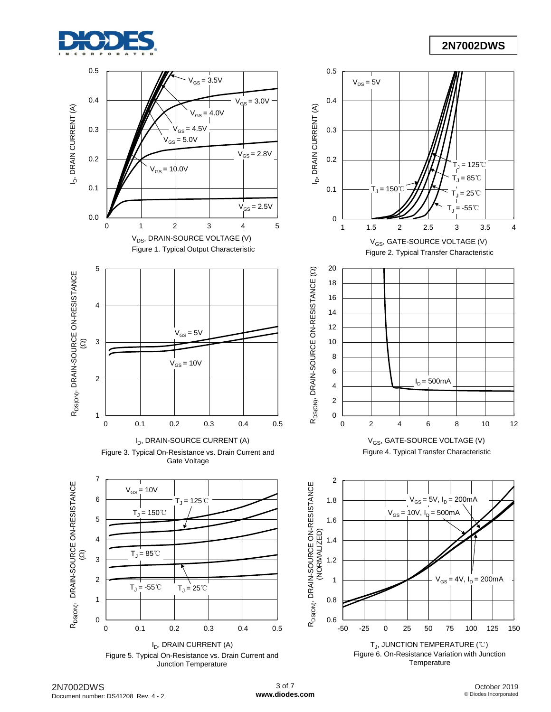

### **2N7002DWS**



2N7002DWS Document number: DS41208 Rev. 4 - 2

October 2019 © Diodes Incorporated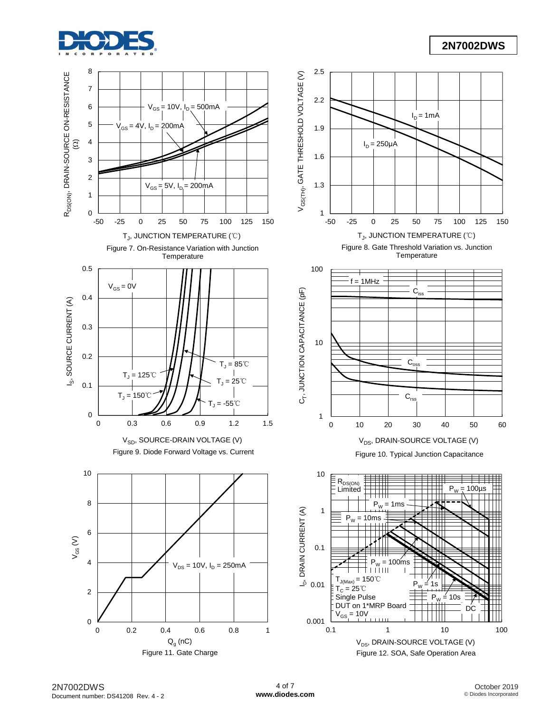

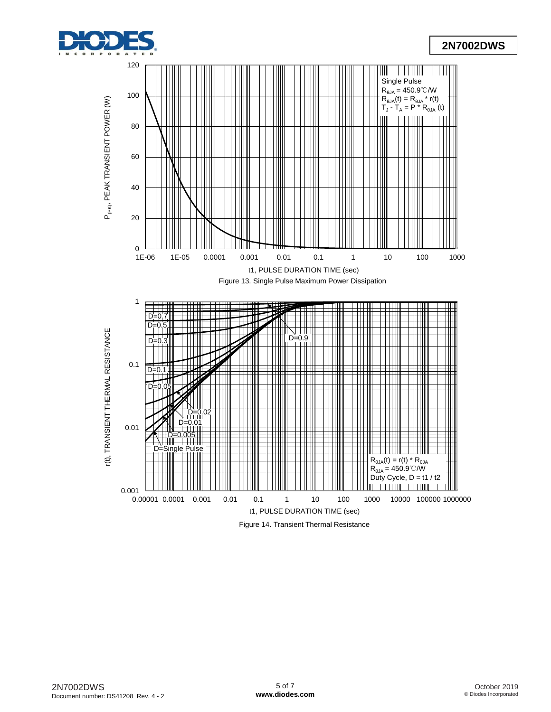![](_page_4_Picture_0.jpeg)

![](_page_4_Figure_2.jpeg)

Figure 14. Transient Thermal Resistance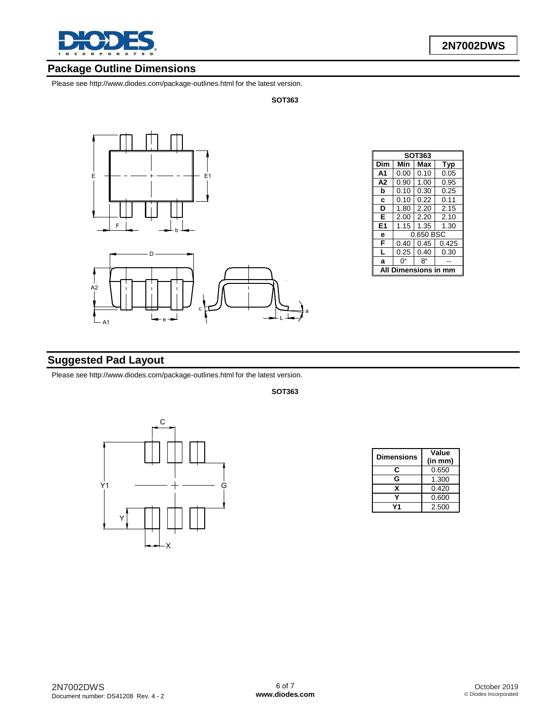![](_page_5_Picture_0.jpeg)

## **Package Outline Dimensions**

Please see <http://www.diodes.com/package-outlines.html> for the latest version.

**SOT363**

![](_page_5_Figure_5.jpeg)

| SOT363           |                       |           |      |  |  |  |  |
|------------------|-----------------------|-----------|------|--|--|--|--|
| Dim              | Min                   | Max       | Typ  |  |  |  |  |
| A <sub>1</sub>   | 0.00                  | 0.10      | 0.05 |  |  |  |  |
| A <sub>2</sub>   | 0.90                  | 1.00      | 0.95 |  |  |  |  |
| b                | 0.10                  | 0.30      | 0.25 |  |  |  |  |
| C                | 0.10                  | 0.22      | 0.11 |  |  |  |  |
| D                | 1.80                  | 2.20      | 2.15 |  |  |  |  |
| Е                | 2.00                  | 2.20      | 2.10 |  |  |  |  |
| E <sub>1</sub>   | 1.15                  | 1.35      | 1.30 |  |  |  |  |
| е                |                       | 0.650 BSC |      |  |  |  |  |
| F                | 0.45<br>0.40<br>0.425 |           |      |  |  |  |  |
| L                | 0.25                  | 0.40      | 0.30 |  |  |  |  |
| a                | ŋ۰                    | 8°        |      |  |  |  |  |
| nensions in<br>Δ |                       |           |      |  |  |  |  |

## **Suggested Pad Layout**

Please see <http://www.diodes.com/package-outlines.html> for the latest version.

**SOT363**

![](_page_5_Figure_10.jpeg)

| <b>Dimensions</b> | Value<br>(in m <sub>m</sub> ) |
|-------------------|-------------------------------|
| c                 | 0.650                         |
| G                 | 1.300                         |
| x                 | 0.420                         |
|                   | 0.600                         |
|                   | 2.500                         |